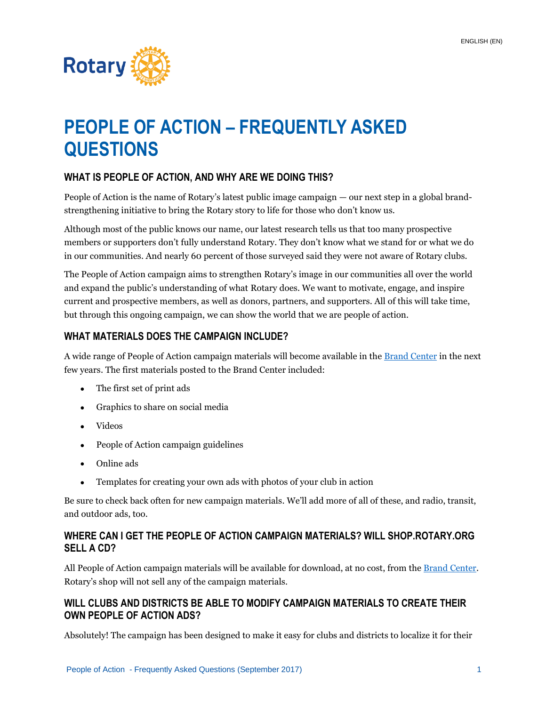

# **PEOPLE OF ACTION – FREQUENTLY ASKED QUESTIONS**

# **WHAT IS PEOPLE OF ACTION, AND WHY ARE WE DOING THIS?**

People of Action is the name of Rotary's latest public image campaign — our next step in a global brandstrengthening initiative to bring the Rotary story to life for those who don't know us.

Although most of the public knows our name, our latest research tells us that too many prospective members or supporters don't fully understand Rotary. They don't know what we stand for or what we do in our communities. And nearly 60 percent of those surveyed said they were not aware of Rotary clubs.

The People of Action campaign aims to strengthen Rotary's image in our communities all over the world and expand the public's understanding of what Rotary does. We want to motivate, engage, and inspire current and prospective members, as well as donors, partners, and supporters. All of this will take time, but through this ongoing campaign, we can show the world that we are people of action.

#### **WHAT MATERIALS DOES THE CAMPAIGN INCLUDE?**

A wide range of People of Action campaign materials will become available in the **Brand Center** in the next few years. The first materials posted to the Brand Center included:

- The first set of print ads
- Graphics to share on social media
- Videos
- People of Action campaign guidelines
- Online ads
- Templates for creating your own ads with photos of your club in action

Be sure to check back often for new campaign materials. We'll add more of all of these, and radio, transit, and outdoor ads, too.

## **WHERE CAN I GET THE PEOPLE OF ACTION CAMPAIGN MATERIALS? WILL SHOP.ROTARY.ORG SELL A CD?**

All People of Action campaign materials will be available for download, at no cost, from the [Brand Center.](https://brandcenter.rotary.org/en-GB) Rotary's shop will not sell any of the campaign materials.

#### **WILL CLUBS AND DISTRICTS BE ABLE TO MODIFY CAMPAIGN MATERIALS TO CREATE THEIR OWN PEOPLE OF ACTION ADS?**

Absolutely! The campaign has been designed to make it easy for clubs and districts to localize it for their